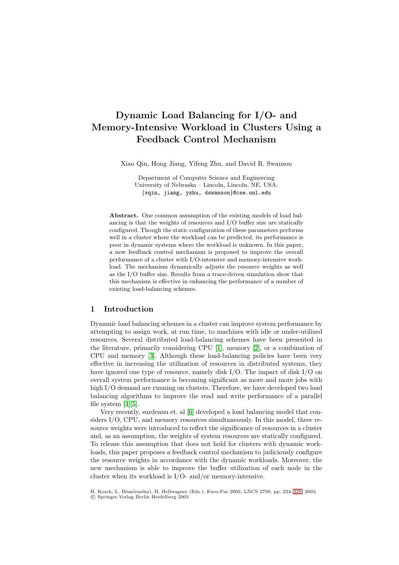# **Dynamic Load Balancing for I/O- and Memory-Intensive Workload in Clusters Using a Feedback Control Mechanism**

Xiao Qin, Hong Jiang, Yifeng Zhu, and David R. Swanson

Department of Computer Science and Engineering University of Nebraska – Lincoln, Lincoln, NE, USA. {xqin, jiang, yzhu, dswanson}@cse.unl.edu

**Abstract.** One common assumption of the existing models of load balancing is that the weights of resources and I/O buffer size are statically configured. Though the static configuration of these parameters performs well in a cluster where the workload can be predicted, its performance is poor in dynamic systems where the workload is unknown. In this paper, a new feedback control mechanism is proposed to improve the overall performance of a cluster with I/O-intensive and memory-intensive workload. The mechanism dynamically adjusts the resource weights as well as the I/O buffer size. Results from a trace-driven simulation show that this mechanism is effective in enhancing the performance of a number of existing load-balancing schemes.

### **1 Introduction**

Dynamic load balancing schemes in a cluster can improve system performance by attempting to assign work, at run time, to machines with idle or under-utilized resources. Several distributed load-balancing schemes have been presented in the literature, primarily considering CPU [\[1\]](#page-5-0), memory [\[2\]](#page-5-0), or a combination of CPU and memory [\[3\]](#page-5-0). Although these load-balancing policies have been very effective in increasing the utilization of resources in distributed systems, they have ignored one type of resource, namely disk I/O. The impact of disk I/O on overall system performance is becoming significant as more and more jobs with high I/O demand are running on clusters. Therefore, we have developed two load balancing algorithms to improve the read and write performance of a parallel file system [\[4\]\[5\]](#page-5-0).

Very recently, surdeanu et. al [\[6\]](#page-5-0) developed a load balancing model that considers I/O, CPU, and memory resources simultaneously. In this model, three resource weights were introduced to reflect the significance of resources in a cluster and, as an assumption, the weights of system resources are statically configured. To release this assumption that does not hold for clusters with dynamic workloads, this paper proposes a feedback control mechanism to judiciously configure the resource weights in accordance with the dynamic workloads. Moreover, the new mechanism is able to improve the buffer utilization of each node in the cluster when its workload is I/O- and/or memory-intensive.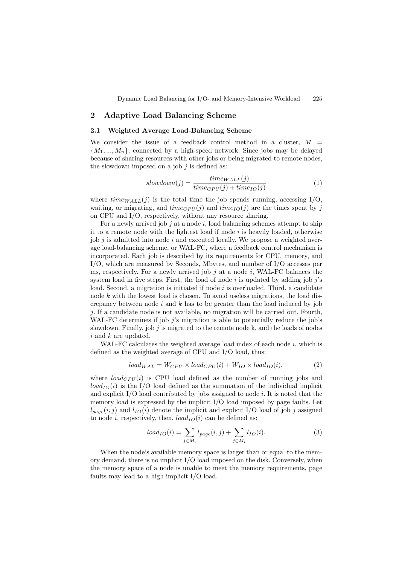### **2 Adaptive Load Balancing Scheme**

#### **2.1 Weighted Average Load-Balancing Scheme**

We consider the issue of a feedback control method in a cluster,  $M =$  ${M_1, ..., M_n}$ , connected by a high-speed network. Since jobs may be delayed because of sharing resources with other jobs or being migrated to remote nodes, the slowdown imposed on a job  $j$  is defined as:

$$
slowdown(j) = \frac{time_{WALL}(j)}{time_{CPU}(j) + time_{IO}(j)}
$$
(1)

where  $time_{WALL}(j)$  is the total time the job spends running, accessing I/O, waiting, or migrating, and  $time_{CPU}(j)$  and  $time_{IO}(j)$  are the times spent by j on CPU and I/O, respectively, without any resource sharing.

For a newly arrived job j at a node i, load balancing schemes attempt to ship it to a remote node with the lightest load if node  $i$  is heavily loaded, otherwise job  $j$  is admitted into node  $i$  and executed locally. We propose a weighted average load-balancing scheme, or WAL-FC, where a feedback control mechanism is incorporated. Each job is described by its requirements for CPU, memory, and I/O, which are measured by Seconds, Mbytes, and number of I/O accesses per ms, respectively. For a newly arrived job  $j$  at a node  $i$ , WAL-FC balances the system load in five steps. First, the load of node  $i$  is updated by adding job  $j$ 's load. Second, a migration is initiated if node  $i$  is overloaded. Third, a candidate node  $k$  with the lowest load is chosen. To avoid useless migrations, the load discrepancy between node  $i$  and  $k$  has to be greater than the load induced by job j. If a candidate node is not available, no migration will be carried out. Fourth, WAL-FC determines if job  $j$ 's migration is able to potentially reduce the job's slowdown. Finally, job  $j$  is migrated to the remote node k, and the loads of nodes i and k are updated.

WAL-FC calculates the weighted average load index of each node i, which is defined as the weighted average of CPU and I/O load, thus:

$$
load_{WAL} = W_{CPU} \times load_{CPU}(i) + W_{IO} \times load_{IO}(i),
$$
\n(2)

where  $load_{CPU}(i)$  is CPU load defined as the number of running jobs and  $load_{IO}(i)$  is the I/O load defined as the summation of the individual implicit and explicit I/O load contributed by jobs assigned to node i. It is noted that the memory load is expressed by the implicit I/O load imposed by page faults. Let  $l_{page}(i, j)$  and  $l_{IO}(i)$  denote the implicit and explicit I/O load of job j assigned to node i, respectively, then,  $load_{IO}(i)$  can be defined as:

$$
load_{IO}(i) = \sum_{j \in M_i} l_{page}(i, j) + \sum_{j \in M_i} l_{IO}(i).
$$
 (3)

When the node's available memory space is larger than or equal to the memory demand, there is no implicit I/O load imposed on the disk. Conversely, when the memory space of a node is unable to meet the memory requirements, page faults may lead to a high implicit I/O load.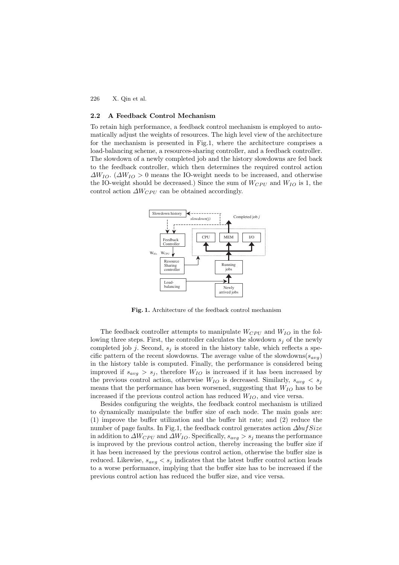#### **2.2 A Feedback Control Mechanism**

To retain high performance, a feedback control mechanism is employed to automatically adjust the weights of resources. The high level view of the architecture for the mechanism is presented in Fig.1, where the architecture comprises a load-balancing scheme, a resources-sharing controller, and a feedback controller. The slowdown of a newly completed job and the history slowdowns are fed back to the feedback controller, which then determines the required control action  $\Delta W_{IO}$ . ( $\Delta W_{IO} > 0$  means the IO-weight needs to be increased, and otherwise the IO-weight should be decreased.) Since the sum of  $W_{CPU}$  and  $W_{IO}$  is 1, the control action  $\Delta W_{CPU}$  can be obtained accordingly.



**Fig. 1.** Architecture of the feedback control mechanism

The feedback controller attempts to manipulate  $W_{CPU}$  and  $W_{IO}$  in the following three steps. First, the controller calculates the slowdown  $s_i$  of the newly completed job j. Second,  $s_i$  is stored in the history table, which reflects a specific pattern of the recent slowdowns. The average value of the slowdowns( $s_{avg}$ ) in the history table is computed. Finally, the performance is considered being improved if  $s_{avg} > s_j$ , therefore  $W_{IO}$  is increased if it has been increased by the previous control action, otherwise  $W_{IO}$  is decreased. Similarly,  $s_{avg} < s_j$ means that the performance has been worsened, suggesting that  $W_{IO}$  has to be increased if the previous control action has reduced  $W_{IO}$ , and vice versa.

Besides configuring the weights, the feedback control mechanism is utilized to dynamically manipulate the buffer size of each node. The main goals are: (1) improve the buffer utilization and the buffer hit rate; and (2) reduce the number of page faults. In Fig.1, the feedback control generates action  $\Delta bu f Size$ in addition to  $\Delta W_{CPU}$  and  $\Delta W_{IO}$ . Specifically,  $s_{avg} > s_j$  means the performance is improved by the previous control action, thereby increasing the buffer size if it has been increased by the previous control action, otherwise the buffer size is reduced. Likewise,  $s_{avg} < s_j$  indicates that the latest buffer control action leads to a worse performance, implying that the buffer size has to be increased if the previous control action has reduced the buffer size, and vice versa.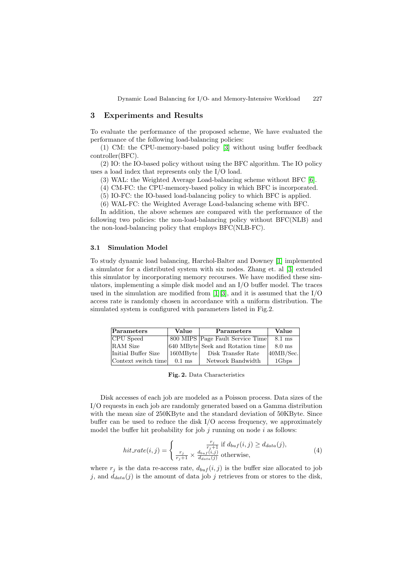## **3 Experiments and Results**

To evaluate the performance of the proposed scheme, We have evaluated the performance of the following load-balancing policies:

(1) CM: the CPU-memory-based policy [\[3\]](#page-5-0) without using buffer feedback controller(BFC).

(2) IO: the IO-based policy without using the BFC algorithm. The IO policy uses a load index that represents only the I/O load.

- (3) WAL: the Weighted Average Load-balancing scheme without BFC [\[6\]](#page-5-0).
- (4) CM-FC: the CPU-memory-based policy in which BFC is incorporated.
- (5) IO-FC: the IO-based load-balancing policy to which BFC is applied.
- (6) WAL-FC: the Weighted Average Load-balancing scheme with BFC.

In addition, the above schemes are compared with the performance of the following two policies: the non-load-balancing policy without BFC(NLB) and the non-load-balancing policy that employs BFC(NLB-FC).

#### **3.1 Simulation Model**

To study dynamic load balancing, Harchol-Balter and Downey [\[1\]](#page-5-0) implemented a simulator for a distributed system with six nodes. Zhang et. al [\[3\]](#page-5-0) extended this simulator by incorporating memory recourses. We have modified these simulators, implementing a simple disk model and an I/O buffer model. The traces used in the simulation are modified from  $[1][3]$ , and it is assumed that the  $I/O$ access rate is randomly chosen in accordance with a uniform distribution. The simulated system is configured with parameters listed in Fig.2.

| Parameters          | Value                  | Parameters                       | Value            |
|---------------------|------------------------|----------------------------------|------------------|
| CPU Speed           |                        | 800 MIPS Page Fault Service Time | $8.1 \text{ ms}$ |
| RAM Size            |                        | 640 MByte Seek and Rotation time | $8.0 \text{ ms}$ |
| Initial Buffer Size | $160MB$ <sub>vte</sub> | Disk Transfer Rate               | 40MB/Sec.        |
| Context switch time | $0.1$ ms               | Network Bandwidth                | 1Gbps            |

**Fig. 2.** Data Characteristics

Disk accesses of each job are modeled as a Poisson process. Data sizes of the I/O requests in each job are randomly generated based on a Gamma distribution with the mean size of 250KByte and the standard deviation of 50KByte. Since buffer can be used to reduce the disk  $I/O$  access frequency, we approximately model the buffer hit probability for job  $j$  running on node  $i$  as follows:

$$
hit_rate(i,j) = \begin{cases} \frac{r_j}{r_j+1} & \text{if } d_{buf}(i,j) \ge d_{data}(j),\\ \frac{r_j}{r_j+1} \times \frac{d_{buf}(i,j)}{d_{data}(j)} & \text{otherwise}, \end{cases}
$$
(4)

where  $r_j$  is the data re-access rate,  $d_{buf}(i, j)$  is the buffer size allocated to job j, and  $d_{data}(j)$  is the amount of data job j retrieves from or stores to the disk,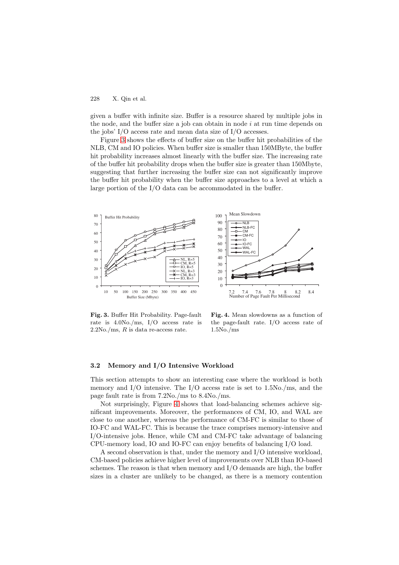<span id="page-4-0"></span>given a buffer with infinite size. Buffer is a resource shared by multiple jobs in the node, and the buffer size a job can obtain in node  $i$  at run time depends on the jobs' I/O access rate and mean data size of I/O accesses.

Figure 3 shows the effects of buffer size on the buffer hit probabilities of the NLB, CM and IO policies. When buffer size is smaller than 150MByte, the buffer hit probability increases almost linearly with the buffer size. The increasing rate of the buffer hit probability drops when the buffer size is greater than 150Mbyte, suggesting that further increasing the buffer size can not significantly improve the buffer hit probability when the buffer size approaches to a level at which a large portion of the I/O data can be accommodated in the buffer.



 $\Omega$ 10 20 30 40 50 60 70 80 90 100 7.2 7.4 7.6 7.8 8 8.2 8.4 Number of Page Fault Per Millisecond NLB NLB-FC **CM** CM-FC IO IO-FC WAL WAL-FC Mean Slowdown

**Fig. 3.** Buffer Hit Probability. Page-fault rate is 4.0No./ms, I/O access rate is  $2.2$ No./ms,  $R$  is data re-access rate.

**Fig. 4.** Mean slowdowns as a function of the page-fault rate. I/O access rate of 1.5No./ms

#### **3.2 Memory and I/O Intensive Workload**

This section attempts to show an interesting case where the workload is both memory and I/O intensive. The I/O access rate is set to 1.5No./ms, and the page fault rate is from 7.2No./ms to 8.4No./ms.

Not surprisingly, Figure 4 shows that load-balancing schemes achieve significant improvements. Moreover, the performances of CM, IO, and WAL are close to one another, whereas the performance of CM-FC is similar to those of IO-FC and WAL-FC. This is because the trace comprises memory-intensive and I/O-intensive jobs. Hence, while CM and CM-FC take advantage of balancing CPU-memory load, IO and IO-FC can enjoy benefits of balancing I/O load.

A second observation is that, under the memory and I/O intensive workload, CM-based policies achieve higher level of improvements over NLB than IO-based schemes. The reason is that when memory and  $I/O$  demands are high, the buffer sizes in a cluster are unlikely to be changed, as there is a memory contention